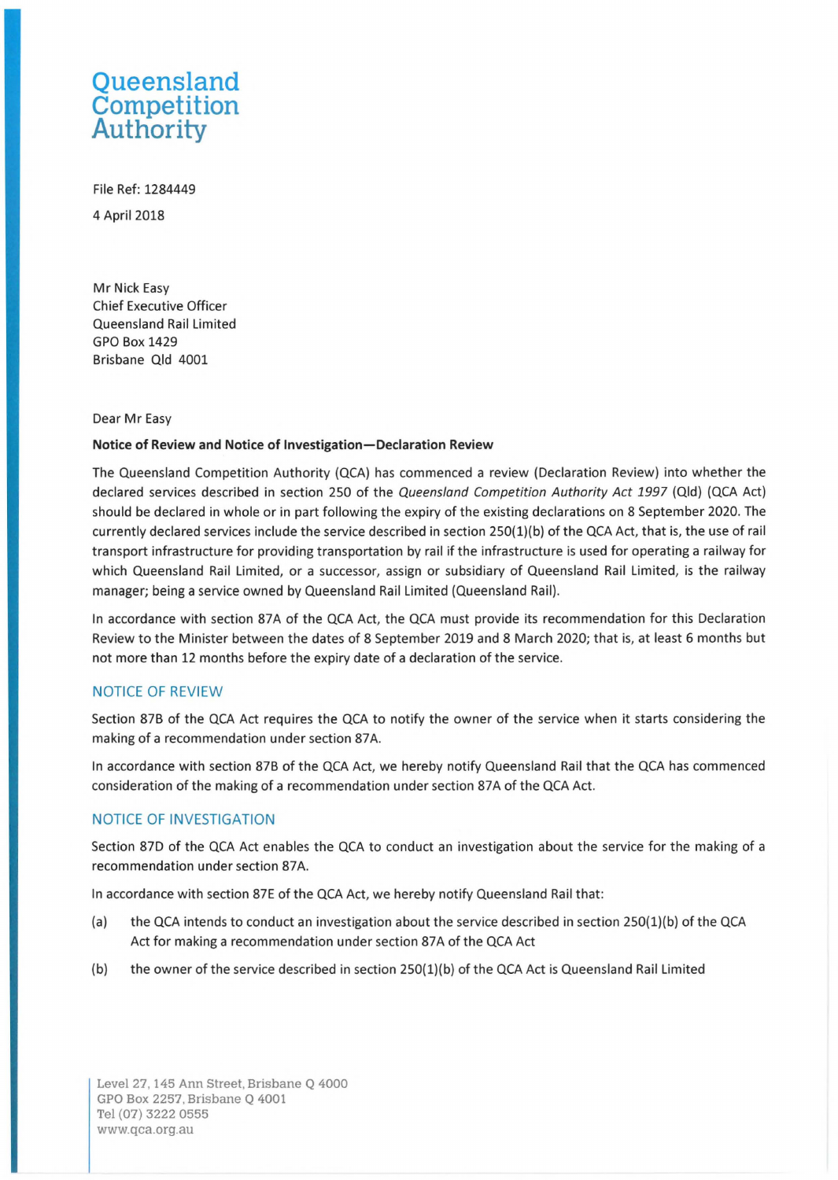# **Queensland Competition Authority**

File Ref: 1284449 4 April2018

Mr Nick Easy Chief Executive Officer Queensland Rail Limited GPO Box 1429 Brisbane Qld 4001

#### Dear Mr Easy

#### **Notice of Review and Notice of Investigation-Declaration Review**

The Queensland Competition Authority {QCA) has commenced a review {Declaration Review) into whether the declared services described in section 250 of the Queensland Competition Authority Act 1997 (Qld) (QCA Act) should be declared in whole or in part following the expiry of the existing declarations on 8 September 2020. The currently declared services include the service described in section 250{1){b) of the QCA Act, that is, the use of rail transport infrastructure for providing transportation by rail if the infrastructure is used for operating a railway for which Queensland Rail Limited, or a successor, assign or subsidiary of Queensland Rail Limited, is the railway manager; being a service owned by Queensland Rail Limited {Queensland Rail).

In accordance with section 87A of the QCA Act, the QCA must provide its recommendation for this Declaration Review to the Minister between the dates of 8 September 2019 and 8 March 2020; that is, at least 6 months but not more than 12 months before the expiry date of a declaration of the service.

## NOTICE OF REVIEW

Section 87B of the QCA Act requires the QCA to notify the owner of the service when it starts considering the making of a recommendation under section 87A.

In accordance with section 87B of the QCA Act, we hereby notify Queensland Rail that the QCA has commenced consideration of the making of a recommendation under section 87A of the QCA Act.

## NOTICE OF INVESTIGATION

Section 87D of the QCA Act enables the QCA to conduct an investigation about the service for the making of a recommendation under section 87A.

In accordance with section 87E of the QCA Act, we hereby notify Queensland Rail that:

- (a) the QCA intends to conduct an investigation about the service described in section  $250(1)(b)$  of the QCA Act for making a recommendation under section 87A of the QCA Act
- (b) the owner of the service described in section  $250(1)(b)$  of the QCA Act is Queensland Rail Limited